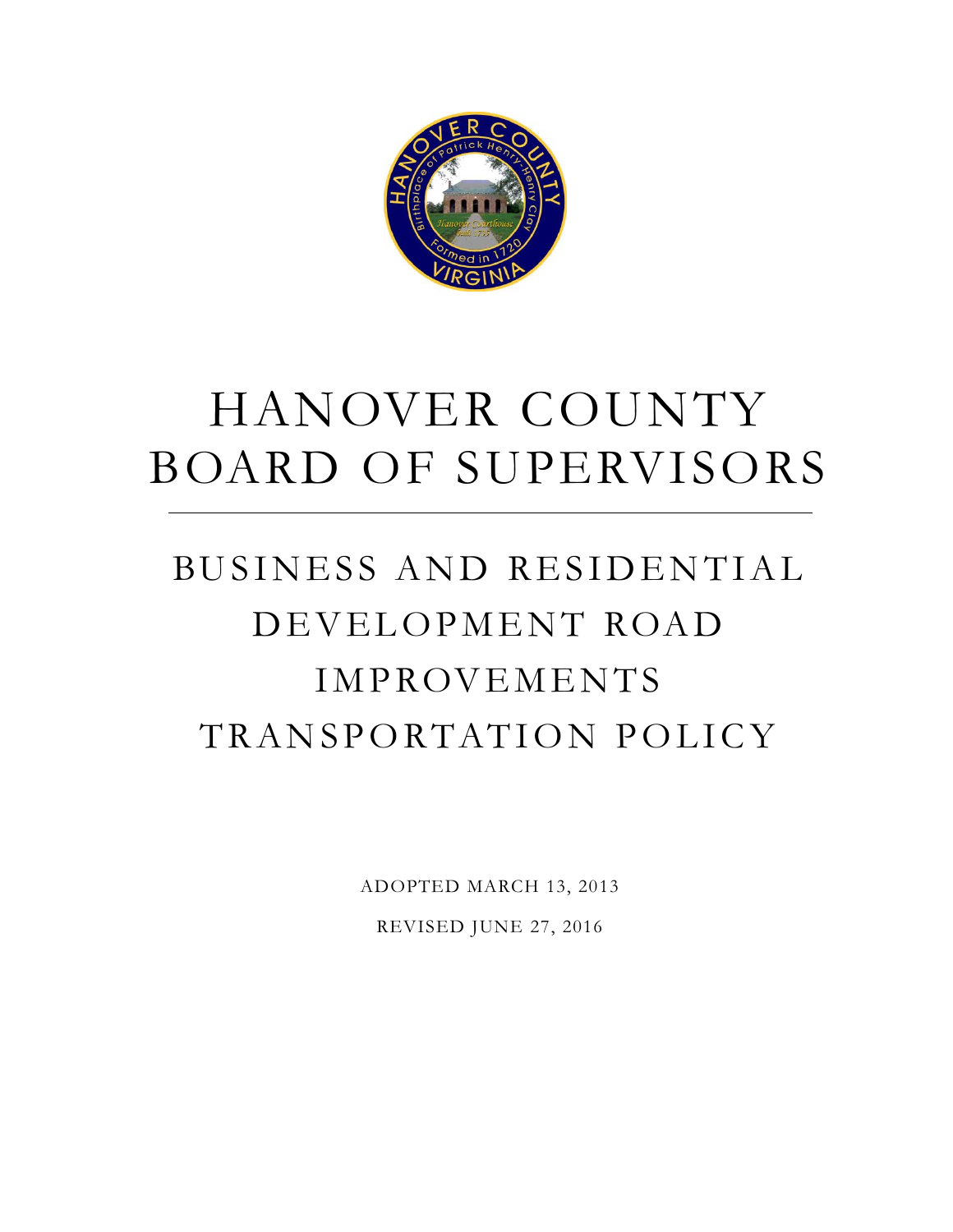

# HANOVER COUNTY BOARD OF SUPERVISORS

## BUSINESS AND RESIDENTIAL DEVELOPMENT ROAD **IMPROVEMENTS** TRANSPORTATION POLICY

ADOPTED MARCH 13, 2013 REVISED JUNE 27, 2016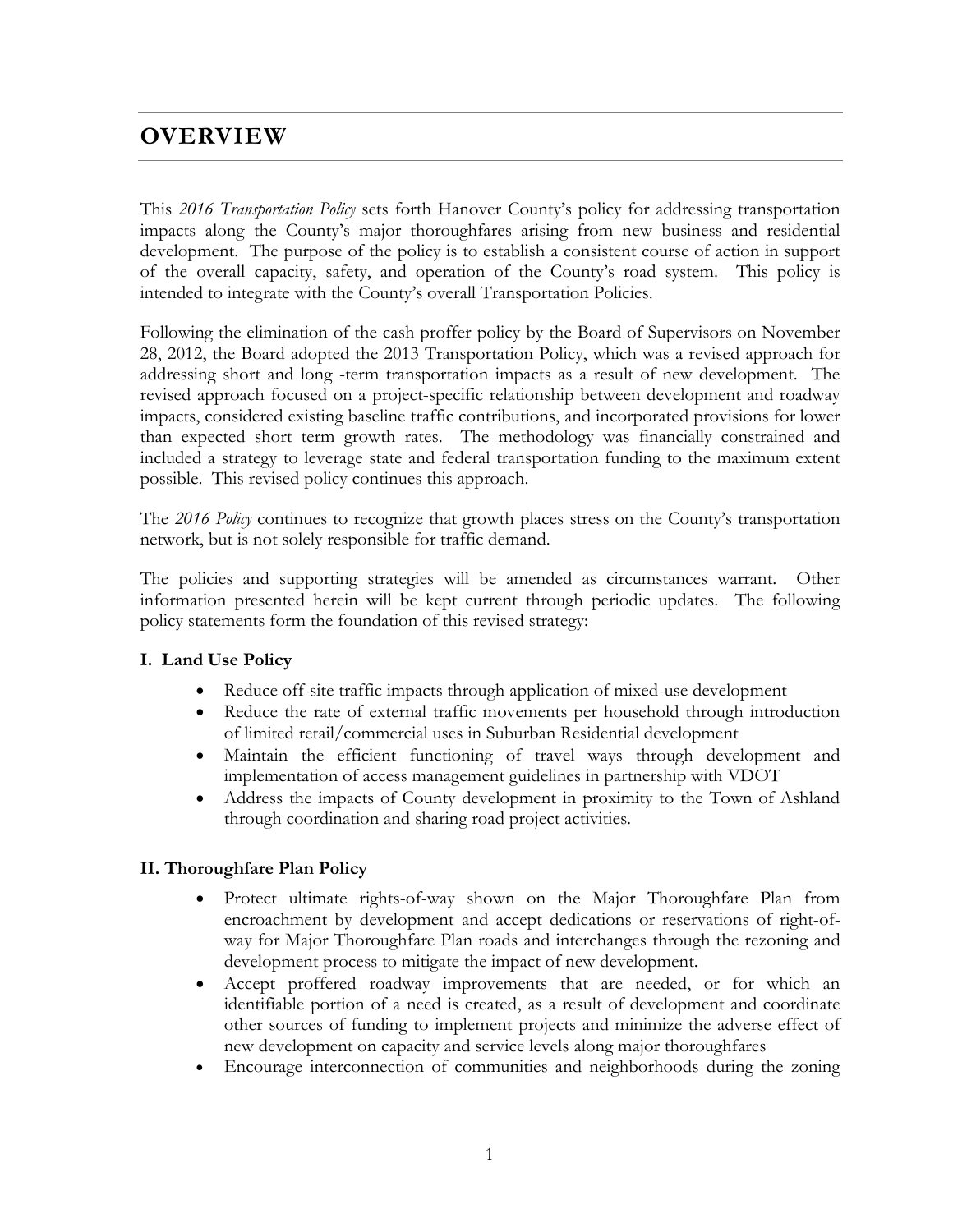## **OVERVIEW**

This *2016 Transportation Policy* sets forth Hanover County's policy for addressing transportation impacts along the County's major thoroughfares arising from new business and residential development. The purpose of the policy is to establish a consistent course of action in support of the overall capacity, safety, and operation of the County's road system. This policy is intended to integrate with the County's overall Transportation Policies.

Following the elimination of the cash proffer policy by the Board of Supervisors on November 28, 2012, the Board adopted the 2013 Transportation Policy, which was a revised approach for addressing short and long -term transportation impacts as a result of new development. The revised approach focused on a project-specific relationship between development and roadway impacts, considered existing baseline traffic contributions, and incorporated provisions for lower than expected short term growth rates. The methodology was financially constrained and included a strategy to leverage state and federal transportation funding to the maximum extent possible. This revised policy continues this approach.

The *2016 Policy* continues to recognize that growth places stress on the County's transportation network, but is not solely responsible for traffic demand.

The policies and supporting strategies will be amended as circumstances warrant. Other information presented herein will be kept current through periodic updates. The following policy statements form the foundation of this revised strategy:

#### **I. Land Use Policy**

- Reduce off-site traffic impacts through application of mixed-use development
- Reduce the rate of external traffic movements per household through introduction of limited retail/commercial uses in Suburban Residential development
- Maintain the efficient functioning of travel ways through development and implementation of access management guidelines in partnership with VDOT
- Address the impacts of County development in proximity to the Town of Ashland through coordination and sharing road project activities.

#### **II. Thoroughfare Plan Policy**

- Protect ultimate rights-of-way shown on the Major Thoroughfare Plan from encroachment by development and accept dedications or reservations of right-ofway for Major Thoroughfare Plan roads and interchanges through the rezoning and development process to mitigate the impact of new development.
- Accept proffered roadway improvements that are needed, or for which an identifiable portion of a need is created, as a result of development and coordinate other sources of funding to implement projects and minimize the adverse effect of new development on capacity and service levels along major thoroughfares
- Encourage interconnection of communities and neighborhoods during the zoning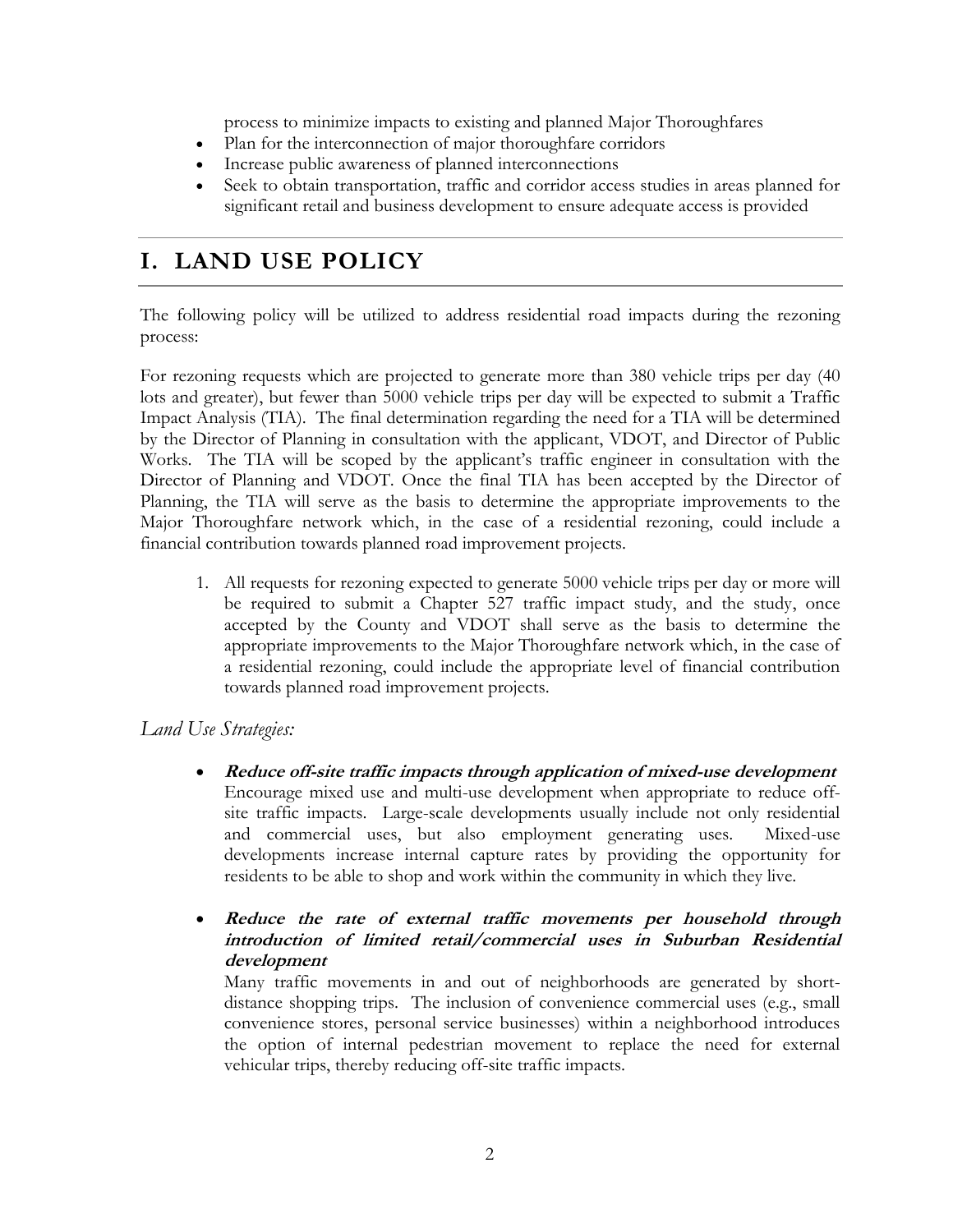process to minimize impacts to existing and planned Major Thoroughfares

- Plan for the interconnection of major thoroughfare corridors
- Increase public awareness of planned interconnections
- Seek to obtain transportation, traffic and corridor access studies in areas planned for significant retail and business development to ensure adequate access is provided

## **I. LAND USE POLICY**

The following policy will be utilized to address residential road impacts during the rezoning process:

For rezoning requests which are projected to generate more than 380 vehicle trips per day (40 lots and greater), but fewer than 5000 vehicle trips per day will be expected to submit a Traffic Impact Analysis (TIA). The final determination regarding the need for a TIA will be determined by the Director of Planning in consultation with the applicant, VDOT, and Director of Public Works. The TIA will be scoped by the applicant's traffic engineer in consultation with the Director of Planning and VDOT. Once the final TIA has been accepted by the Director of Planning, the TIA will serve as the basis to determine the appropriate improvements to the Major Thoroughfare network which, in the case of a residential rezoning, could include a financial contribution towards planned road improvement projects.

1. All requests for rezoning expected to generate 5000 vehicle trips per day or more will be required to submit a Chapter 527 traffic impact study, and the study, once accepted by the County and VDOT shall serve as the basis to determine the appropriate improvements to the Major Thoroughfare network which, in the case of a residential rezoning, could include the appropriate level of financial contribution towards planned road improvement projects.

#### *Land Use Strategies:*

- **Reduce off-site traffic impacts through application of mixed-use development**  Encourage mixed use and multi-use development when appropriate to reduce offsite traffic impacts. Large-scale developments usually include not only residential and commercial uses, but also employment generating uses. Mixed-use developments increase internal capture rates by providing the opportunity for residents to be able to shop and work within the community in which they live.
- **Reduce the rate of external traffic movements per household through introduction of limited retail/commercial uses in Suburban Residential development**

Many traffic movements in and out of neighborhoods are generated by shortdistance shopping trips. The inclusion of convenience commercial uses (e.g., small convenience stores, personal service businesses) within a neighborhood introduces the option of internal pedestrian movement to replace the need for external vehicular trips, thereby reducing off-site traffic impacts.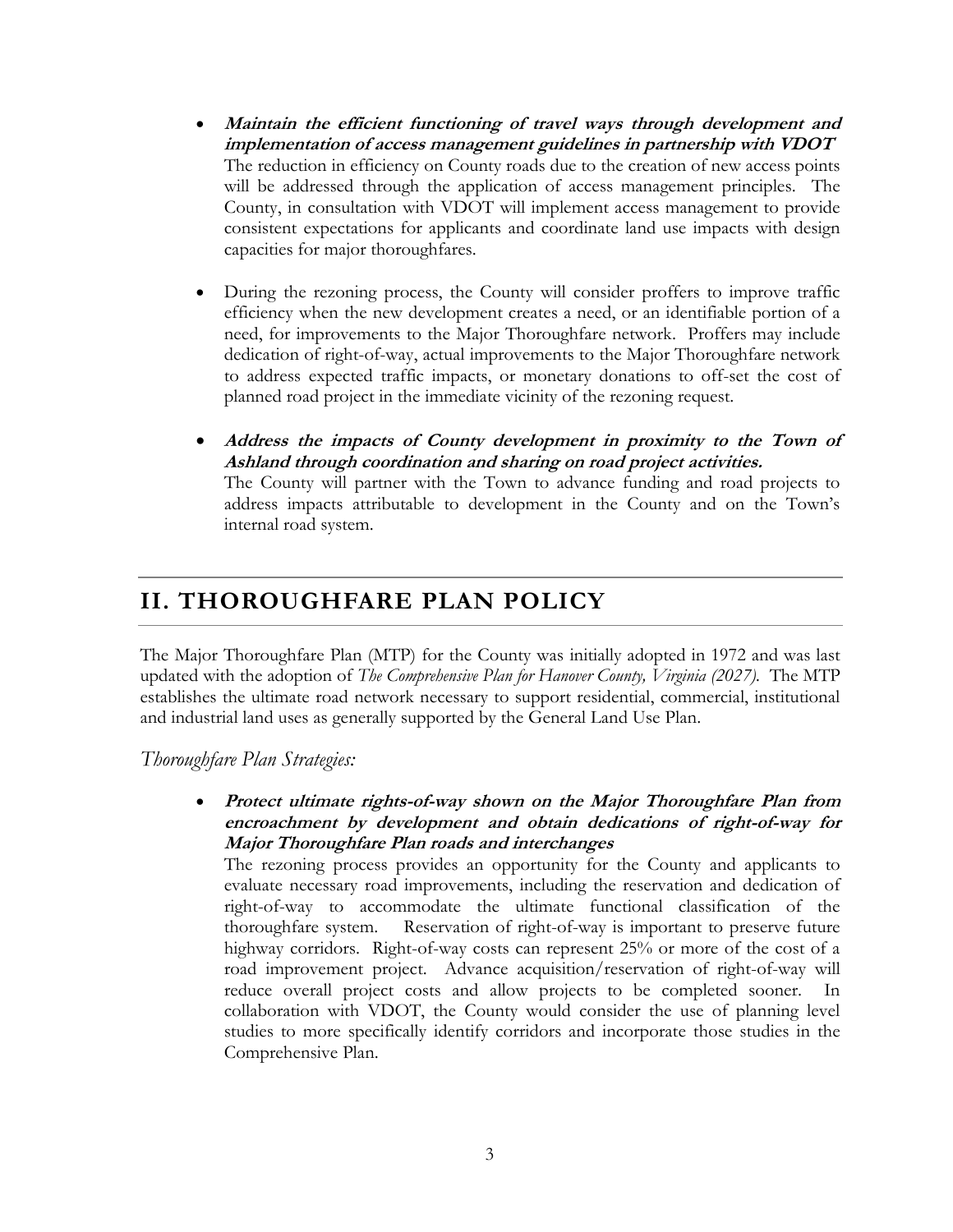- **Maintain the efficient functioning of travel ways through development and implementation of access management guidelines in partnership with VDOT** The reduction in efficiency on County roads due to the creation of new access points will be addressed through the application of access management principles. The County, in consultation with VDOT will implement access management to provide consistent expectations for applicants and coordinate land use impacts with design capacities for major thoroughfares.
- During the rezoning process, the County will consider proffers to improve traffic efficiency when the new development creates a need, or an identifiable portion of a need, for improvements to the Major Thoroughfare network. Proffers may include dedication of right-of-way, actual improvements to the Major Thoroughfare network to address expected traffic impacts, or monetary donations to off-set the cost of planned road project in the immediate vicinity of the rezoning request.
- **Address the impacts of County development in proximity to the Town of Ashland through coordination and sharing on road project activities.** The County will partner with the Town to advance funding and road projects to address impacts attributable to development in the County and on the Town's

#### **II. THOROUGHFARE PLAN POLICY**

internal road system.

The Major Thoroughfare Plan (MTP) for the County was initially adopted in 1972 and was last updated with the adoption of *The Comprehensive Plan for Hanover County, Virginia (2027).* The MTP establishes the ultimate road network necessary to support residential, commercial, institutional and industrial land uses as generally supported by the General Land Use Plan.

*Thoroughfare Plan Strategies:*

 **Protect ultimate rights-of-way shown on the Major Thoroughfare Plan from encroachment by development and obtain dedications of right-of-way for Major Thoroughfare Plan roads and interchanges**

The rezoning process provides an opportunity for the County and applicants to evaluate necessary road improvements, including the reservation and dedication of right-of-way to accommodate the ultimate functional classification of the thoroughfare system. Reservation of right-of-way is important to preserve future highway corridors. Right-of-way costs can represent 25% or more of the cost of a road improvement project. Advance acquisition/reservation of right-of-way will reduce overall project costs and allow projects to be completed sooner. In collaboration with VDOT, the County would consider the use of planning level studies to more specifically identify corridors and incorporate those studies in the Comprehensive Plan.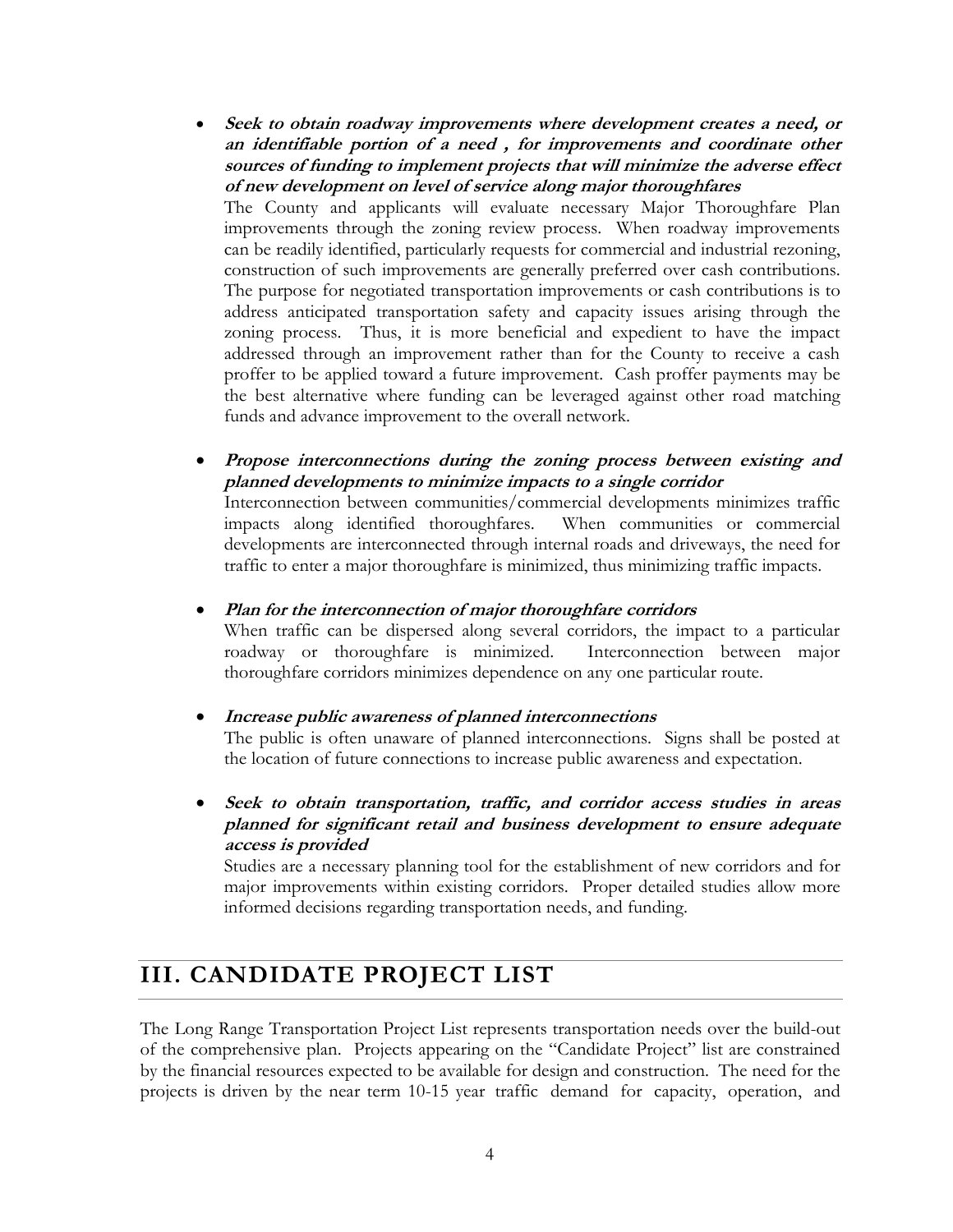- **Seek to obtain roadway improvements where development creates a need, or an identifiable portion of a need , for improvements and coordinate other sources of funding to implement projects that will minimize the adverse effect of new development on level of service along major thoroughfares** The County and applicants will evaluate necessary Major Thoroughfare Plan improvements through the zoning review process. When roadway improvements can be readily identified, particularly requests for commercial and industrial rezoning, construction of such improvements are generally preferred over cash contributions. The purpose for negotiated transportation improvements or cash contributions is to address anticipated transportation safety and capacity issues arising through the zoning process. Thus, it is more beneficial and expedient to have the impact addressed through an improvement rather than for the County to receive a cash proffer to be applied toward a future improvement. Cash proffer payments may be the best alternative where funding can be leveraged against other road matching funds and advance improvement to the overall network.
- **Propose interconnections during the zoning process between existing and planned developments to minimize impacts to a single corridor**

Interconnection between communities/commercial developments minimizes traffic impacts along identified thoroughfares. When communities or commercial developments are interconnected through internal roads and driveways, the need for traffic to enter a major thoroughfare is minimized, thus minimizing traffic impacts.

**Plan for the interconnection of major thoroughfare corridors**

When traffic can be dispersed along several corridors, the impact to a particular roadway or thoroughfare is minimized. Interconnection between major thoroughfare corridors minimizes dependence on any one particular route.

**Increase public awareness of planned interconnections**

The public is often unaware of planned interconnections. Signs shall be posted at the location of future connections to increase public awareness and expectation.

 **Seek to obtain transportation, traffic, and corridor access studies in areas planned for significant retail and business development to ensure adequate access is provided**

Studies are a necessary planning tool for the establishment of new corridors and for major improvements within existing corridors. Proper detailed studies allow more informed decisions regarding transportation needs, and funding.

## **III. CANDIDATE PROJECT LIST**

The Long Range Transportation Project List represents transportation needs over the build-out of the comprehensive plan. Projects appearing on the "Candidate Project" list are constrained by the financial resources expected to be available for design and construction. The need for the projects is driven by the near term 10-15 year traffic demand for capacity, operation, and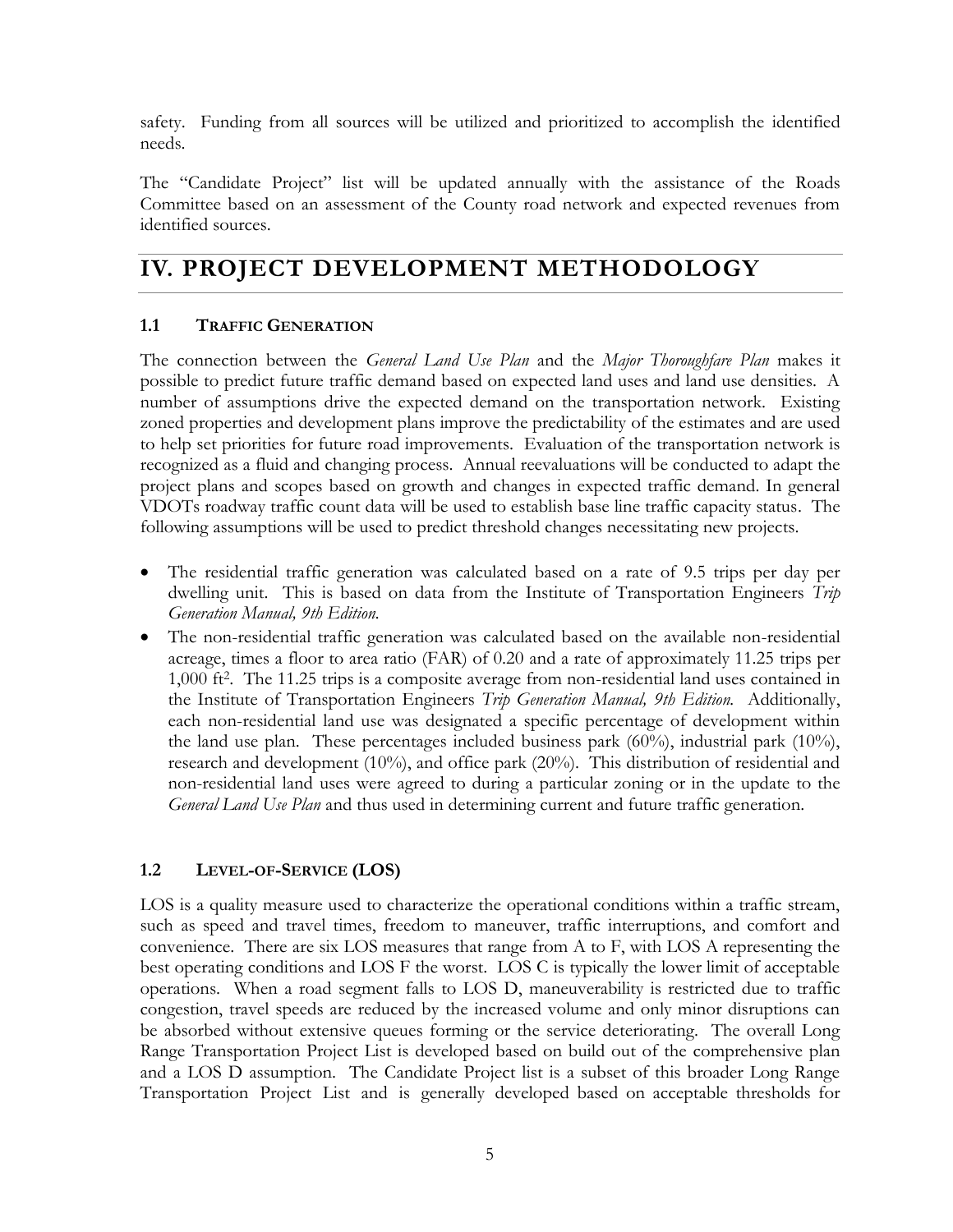safety. Funding from all sources will be utilized and prioritized to accomplish the identified needs.

The "Candidate Project" list will be updated annually with the assistance of the Roads Committee based on an assessment of the County road network and expected revenues from identified sources.

## **IV. PROJECT DEVELOPMENT METHODOLOGY**

#### **1.1 TRAFFIC GENERATION**

The connection between the *General Land Use Plan* and the *Major Thoroughfare Plan* makes it possible to predict future traffic demand based on expected land uses and land use densities. A number of assumptions drive the expected demand on the transportation network. Existing zoned properties and development plans improve the predictability of the estimates and are used to help set priorities for future road improvements. Evaluation of the transportation network is recognized as a fluid and changing process. Annual reevaluations will be conducted to adapt the project plans and scopes based on growth and changes in expected traffic demand. In general VDOTs roadway traffic count data will be used to establish base line traffic capacity status. The following assumptions will be used to predict threshold changes necessitating new projects.

- The residential traffic generation was calculated based on a rate of 9.5 trips per day per dwelling unit. This is based on data from the Institute of Transportation Engineers *Trip Generation Manual, 9th Edition.*
- The non-residential traffic generation was calculated based on the available non-residential acreage, times a floor to area ratio (FAR) of 0.20 and a rate of approximately 11.25 trips per 1,000 ft<sup>2</sup> . The 11.25 trips is a composite average from non-residential land uses contained in the Institute of Transportation Engineers *Trip Generation Manual, 9th Edition.* Additionally, each non-residential land use was designated a specific percentage of development within the land use plan. These percentages included business park  $(60\%)$ , industrial park  $(10\%)$ , research and development (10%), and office park (20%). This distribution of residential and non-residential land uses were agreed to during a particular zoning or in the update to the *General Land Use Plan* and thus used in determining current and future traffic generation.

#### **1.2 LEVEL-OF-SERVICE (LOS)**

LOS is a quality measure used to characterize the operational conditions within a traffic stream, such as speed and travel times, freedom to maneuver, traffic interruptions, and comfort and convenience. There are six LOS measures that range from A to F, with LOS A representing the best operating conditions and LOS F the worst. LOS C is typically the lower limit of acceptable operations. When a road segment falls to LOS D, maneuverability is restricted due to traffic congestion, travel speeds are reduced by the increased volume and only minor disruptions can be absorbed without extensive queues forming or the service deteriorating. The overall Long Range Transportation Project List is developed based on build out of the comprehensive plan and a LOS D assumption. The Candidate Project list is a subset of this broader Long Range Transportation Project List and is generally developed based on acceptable thresholds for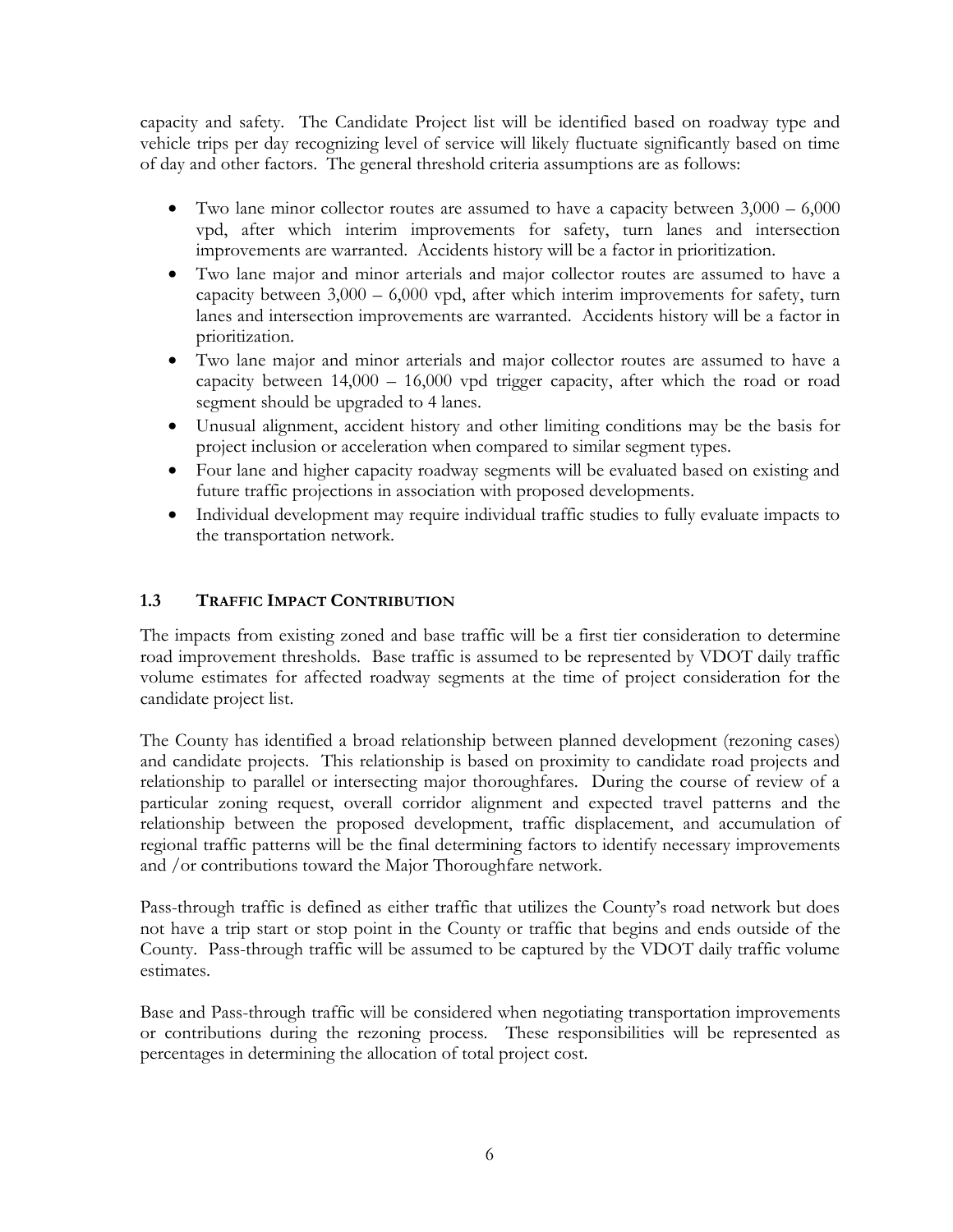capacity and safety. The Candidate Project list will be identified based on roadway type and vehicle trips per day recognizing level of service will likely fluctuate significantly based on time of day and other factors. The general threshold criteria assumptions are as follows:

- Two lane minor collector routes are assumed to have a capacity between 3,000 6,000 vpd, after which interim improvements for safety, turn lanes and intersection improvements are warranted. Accidents history will be a factor in prioritization.
- Two lane major and minor arterials and major collector routes are assumed to have a capacity between 3,000 – 6,000 vpd, after which interim improvements for safety, turn lanes and intersection improvements are warranted. Accidents history will be a factor in prioritization.
- Two lane major and minor arterials and major collector routes are assumed to have a capacity between 14,000 – 16,000 vpd trigger capacity, after which the road or road segment should be upgraded to 4 lanes.
- Unusual alignment, accident history and other limiting conditions may be the basis for project inclusion or acceleration when compared to similar segment types.
- Four lane and higher capacity roadway segments will be evaluated based on existing and future traffic projections in association with proposed developments.
- Individual development may require individual traffic studies to fully evaluate impacts to the transportation network.

#### **1.3 TRAFFIC IMPACT CONTRIBUTION**

The impacts from existing zoned and base traffic will be a first tier consideration to determine road improvement thresholds. Base traffic is assumed to be represented by VDOT daily traffic volume estimates for affected roadway segments at the time of project consideration for the candidate project list.

The County has identified a broad relationship between planned development (rezoning cases) and candidate projects. This relationship is based on proximity to candidate road projects and relationship to parallel or intersecting major thoroughfares. During the course of review of a particular zoning request, overall corridor alignment and expected travel patterns and the relationship between the proposed development, traffic displacement, and accumulation of regional traffic patterns will be the final determining factors to identify necessary improvements and /or contributions toward the Major Thoroughfare network.

Pass-through traffic is defined as either traffic that utilizes the County's road network but does not have a trip start or stop point in the County or traffic that begins and ends outside of the County. Pass-through traffic will be assumed to be captured by the VDOT daily traffic volume estimates.

Base and Pass-through traffic will be considered when negotiating transportation improvements or contributions during the rezoning process. These responsibilities will be represented as percentages in determining the allocation of total project cost.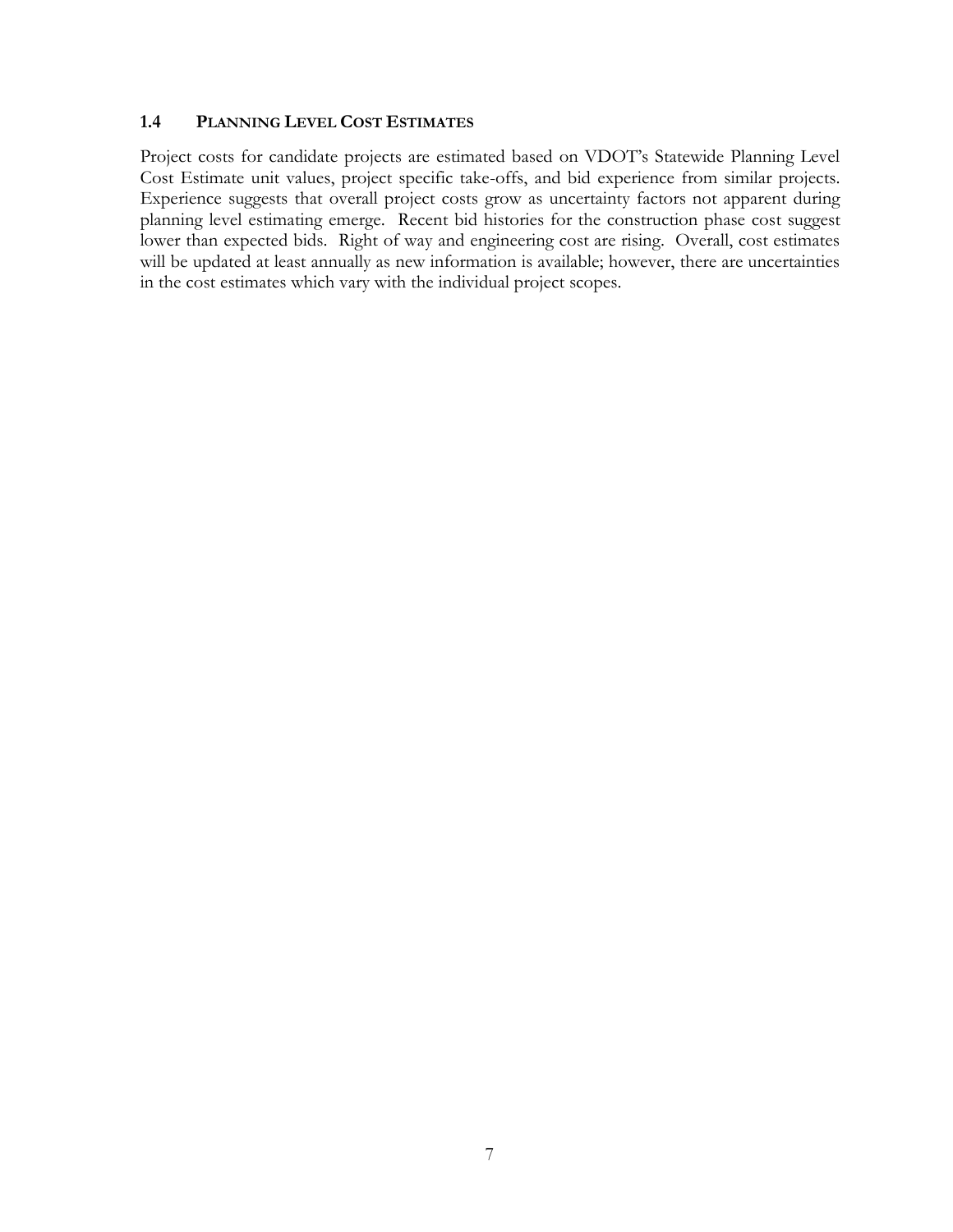#### **1.4 PLANNING LEVEL COST ESTIMATES**

Project costs for candidate projects are estimated based on VDOT's Statewide Planning Level Cost Estimate unit values, project specific take-offs, and bid experience from similar projects. Experience suggests that overall project costs grow as uncertainty factors not apparent during planning level estimating emerge. Recent bid histories for the construction phase cost suggest lower than expected bids. Right of way and engineering cost are rising. Overall, cost estimates will be updated at least annually as new information is available; however, there are uncertainties in the cost estimates which vary with the individual project scopes.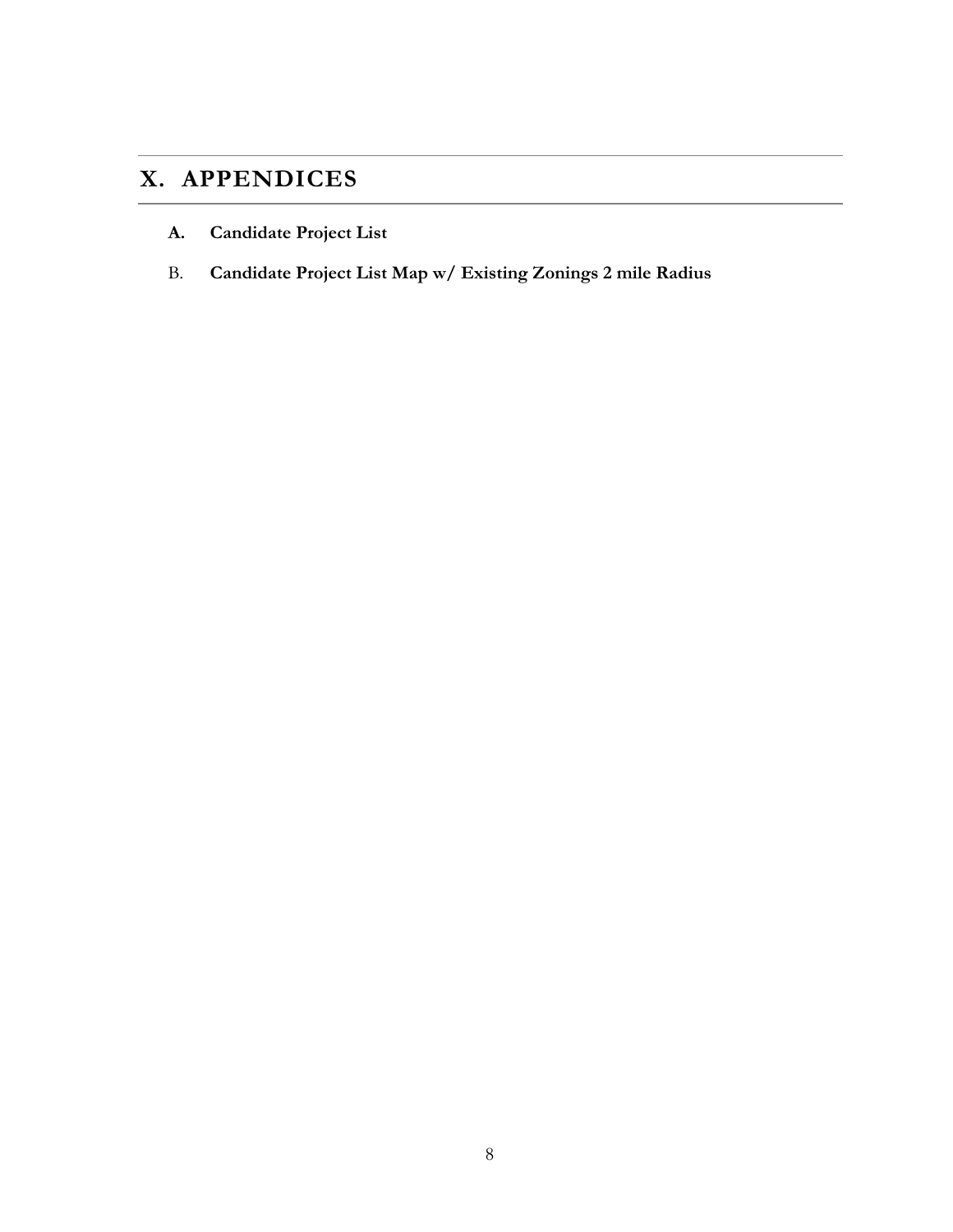## **X. APPENDICES**

- **A. Candidate Project List**
- B. **Candidate Project List Map w/ Existing Zonings 2 mile Radius**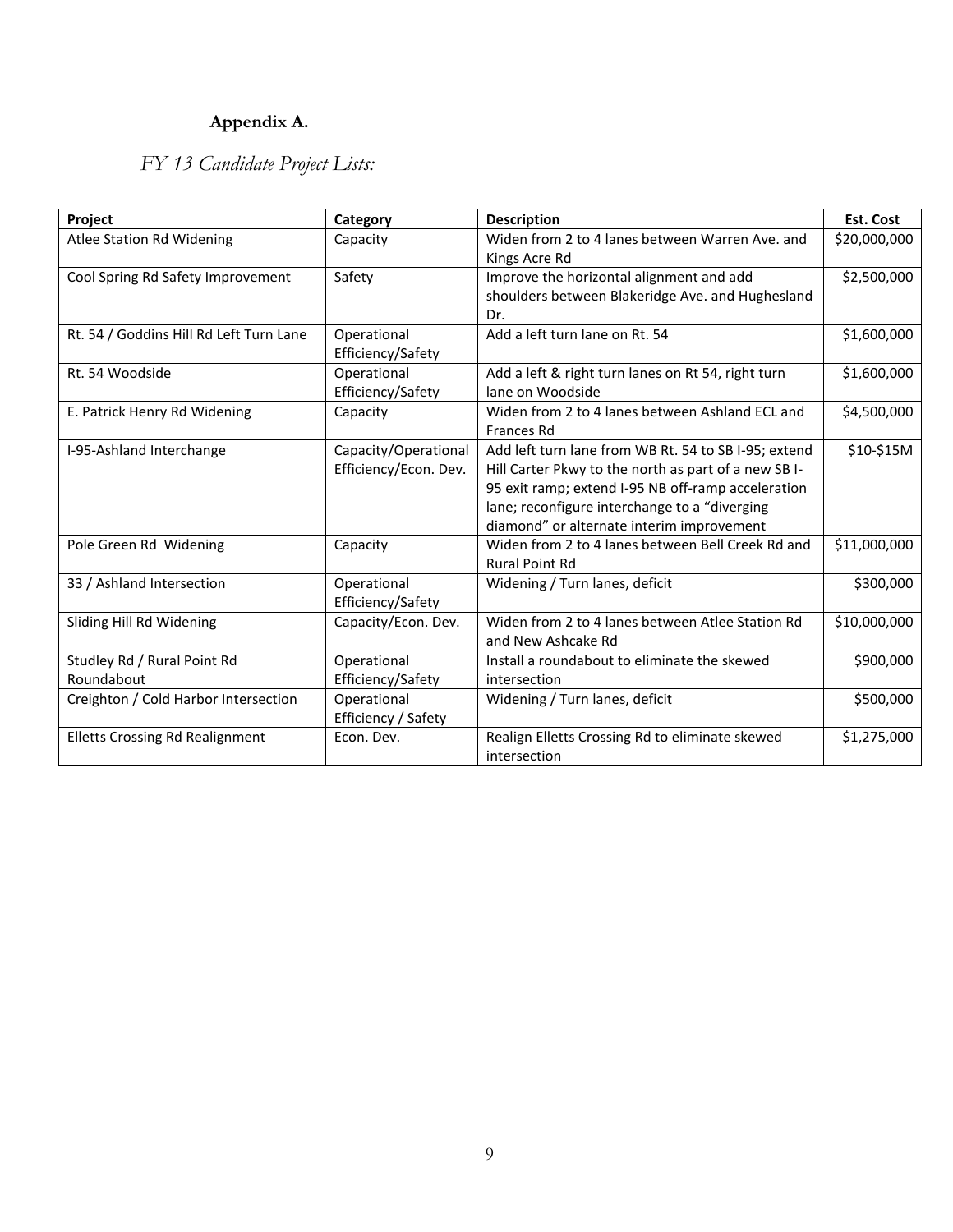## **Appendix A.**

## *FY 13 Candidate Project Lists:*

| Project                                   | Category                                      | <b>Description</b>                                                                                                                                                                                                                                              | <b>Est. Cost</b> |
|-------------------------------------------|-----------------------------------------------|-----------------------------------------------------------------------------------------------------------------------------------------------------------------------------------------------------------------------------------------------------------------|------------------|
| Atlee Station Rd Widening                 | Capacity                                      | Widen from 2 to 4 lanes between Warren Ave. and<br>Kings Acre Rd                                                                                                                                                                                                | \$20,000,000     |
| Cool Spring Rd Safety Improvement         | Safety                                        | Improve the horizontal alignment and add<br>shoulders between Blakeridge Ave. and Hughesland<br>Dr.                                                                                                                                                             | \$2,500,000      |
| Rt. 54 / Goddins Hill Rd Left Turn Lane   | Operational<br>Efficiency/Safety              | Add a left turn lane on Rt. 54                                                                                                                                                                                                                                  | \$1,600,000      |
| Rt. 54 Woodside                           | Operational<br>Efficiency/Safety              | Add a left & right turn lanes on Rt 54, right turn<br>lane on Woodside                                                                                                                                                                                          | \$1,600,000      |
| E. Patrick Henry Rd Widening              | Capacity                                      | Widen from 2 to 4 lanes between Ashland ECL and<br><b>Frances Rd</b>                                                                                                                                                                                            | \$4,500,000      |
| I-95-Ashland Interchange                  | Capacity/Operational<br>Efficiency/Econ. Dev. | Add left turn lane from WB Rt. 54 to SB I-95; extend<br>Hill Carter Pkwy to the north as part of a new SBI-<br>95 exit ramp; extend I-95 NB off-ramp acceleration<br>lane; reconfigure interchange to a "diverging<br>diamond" or alternate interim improvement | \$10-\$15M       |
| Pole Green Rd Widening                    | Capacity                                      | Widen from 2 to 4 lanes between Bell Creek Rd and<br><b>Rural Point Rd</b>                                                                                                                                                                                      | \$11,000,000     |
| 33 / Ashland Intersection                 | Operational<br>Efficiency/Safety              | Widening / Turn lanes, deficit                                                                                                                                                                                                                                  | \$300,000        |
| Sliding Hill Rd Widening                  | Capacity/Econ. Dev.                           | Widen from 2 to 4 lanes between Atlee Station Rd<br>and New Ashcake Rd                                                                                                                                                                                          | \$10,000,000     |
| Studley Rd / Rural Point Rd<br>Roundabout | Operational<br>Efficiency/Safety              | Install a roundabout to eliminate the skewed<br>intersection                                                                                                                                                                                                    | \$900,000        |
| Creighton / Cold Harbor Intersection      | Operational<br>Efficiency / Safety            | Widening / Turn lanes, deficit                                                                                                                                                                                                                                  | \$500,000        |
| <b>Elletts Crossing Rd Realignment</b>    | Econ. Dev.                                    | Realign Elletts Crossing Rd to eliminate skewed<br>intersection                                                                                                                                                                                                 | \$1,275,000      |